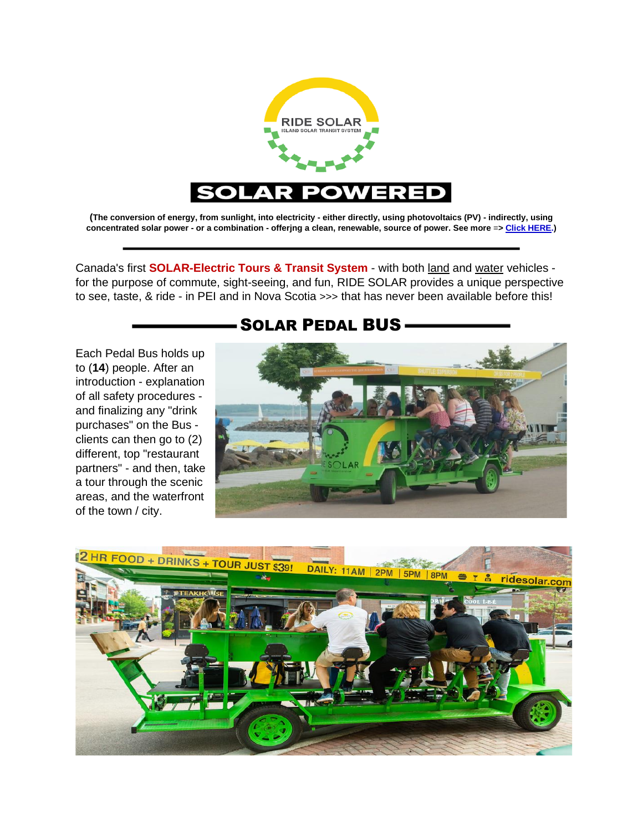

**(The conversion of energy, from sunlight, into electricity - either directly, using photovoltaics (PV) - indirectly, using concentrated solar power - or a combination - offerjng a clean, renewable, source of power. See more** =**[> Click HERE.](https://www.nationalgeographic.com/environment/article/solar-power))**

Canada's first **SOLAR-Electric Tours & Transit System** - with both land and water vehicles for the purpose of commute, sight-seeing, and fun, RIDE SOLAR provides a unique perspective to see, taste, & ride - in PEI and in Nova Scotia >>> that has never been available before this!

**-SOLAR PEDAL BUS-**

Each Pedal Bus holds up to (**14**) people. After an introduction - explanation of all safety procedures and finalizing any "drink purchases" on the Bus clients can then go to (2) different, top "restaurant partners" - and then, take a tour through the scenic areas, and the waterfront of the town / city.

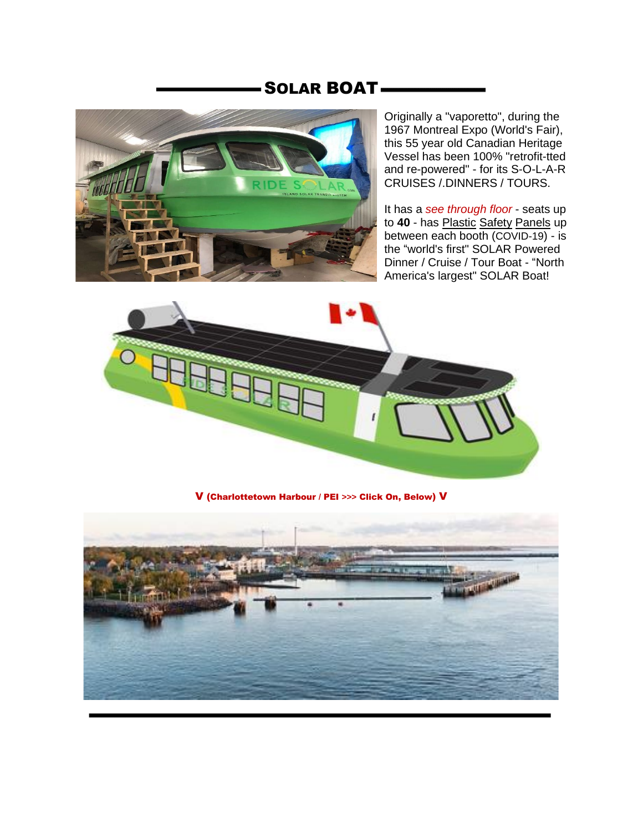## SOLAR BOAT



Originally a "vaporetto", during the 1967 Montreal Expo (World's Fair), this 55 year old Canadian Heritage Vessel has been 100% "retrofit-tted and re-powered" - for its S-O-L-A-R CRUISES /.DINNERS / TOURS.

It has a *see through floor* - seats up to **40** - has Plastic Safety Panels up between each booth (COVID-19) - is the "world's first" SOLAR Powered Dinner / Cruise / Tour Boat - "North America's largest" SOLAR Boat!



V (Charlottetown Harbour / PEI **>>>** Click On, Below) V